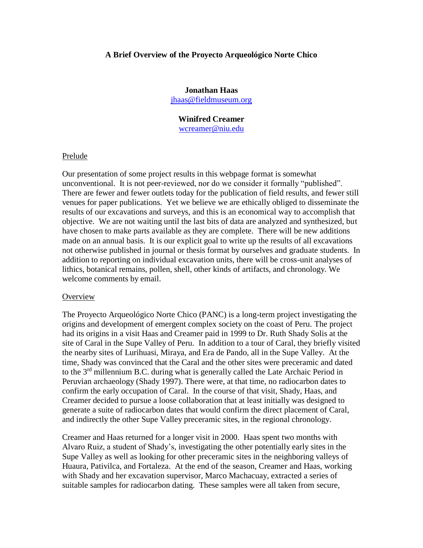## **A Brief Overview of the Proyecto Arqueológico Norte Chico**

# **Jonathan Haas** [jhaas@fieldmuseum.org](mailto:jhaas@fieldmuseum.org)

# **Winifred Creamer** [wcreamer@niu.edu](mailto:wcreamer@niu.edu)

### Prelude

Our presentation of some project results in this webpage format is somewhat unconventional. It is not peer-reviewed, nor do we consider it formally "published". There are fewer and fewer outlets today for the publication of field results, and fewer still venues for paper publications. Yet we believe we are ethically obliged to disseminate the results of our excavations and surveys, and this is an economical way to accomplish that objective. We are not waiting until the last bits of data are analyzed and synthesized, but have chosen to make parts available as they are complete. There will be new additions made on an annual basis. It is our explicit goal to write up the results of all excavations not otherwise published in journal or thesis format by ourselves and graduate students. In addition to reporting on individual excavation units, there will be cross-unit analyses of lithics, botanical remains, pollen, shell, other kinds of artifacts, and chronology. We welcome comments by email.

#### **Overview**

The Proyecto Arqueológico Norte Chico (PANC) is a long-term project investigating the origins and development of emergent complex society on the coast of Peru. The project had its origins in a visit Haas and Creamer paid in 1999 to Dr. Ruth Shady Solis at the site of Caral in the Supe Valley of Peru. In addition to a tour of Caral, they briefly visited the nearby sites of Lurihuasi, Miraya, and Era de Pando, all in the Supe Valley. At the time, Shady was convinced that the Caral and the other sites were preceramic and dated to the  $3<sup>rd</sup>$  millennium B.C. during what is generally called the Late Archaic Period in Peruvian archaeology (Shady 1997). There were, at that time, no radiocarbon dates to confirm the early occupation of Caral. In the course of that visit, Shady, Haas, and Creamer decided to pursue a loose collaboration that at least initially was designed to generate a suite of radiocarbon dates that would confirm the direct placement of Caral, and indirectly the other Supe Valley preceramic sites, in the regional chronology.

Creamer and Haas returned for a longer visit in 2000. Haas spent two months with Alvaro Ruiz, a student of Shady's, investigating the other potentially early sites in the Supe Valley as well as looking for other preceramic sites in the neighboring valleys of Huaura, Pativilca, and Fortaleza. At the end of the season, Creamer and Haas, working with Shady and her excavation supervisor, Marco Machacuay, extracted a series of suitable samples for radiocarbon dating. These samples were all taken from secure,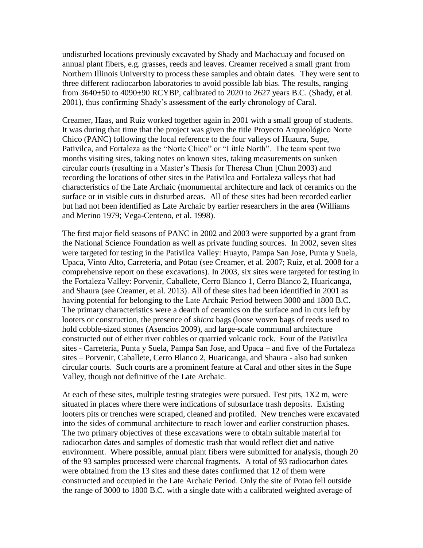undisturbed locations previously excavated by Shady and Machacuay and focused on annual plant fibers, e.g. grasses, reeds and leaves. Creamer received a small grant from Northern Illinois University to process these samples and obtain dates. They were sent to three different radiocarbon laboratories to avoid possible lab bias. The results, ranging from 3640±50 to 4090±90 RCYBP, calibrated to 2020 to 2627 years B.C. (Shady, et al. 2001), thus confirming Shady's assessment of the early chronology of Caral.

Creamer, Haas, and Ruiz worked together again in 2001 with a small group of students. It was during that time that the project was given the title Proyecto Arqueológico Norte Chico (PANC) following the local reference to the four valleys of Huaura, Supe, Pativilca, and Fortaleza as the "Norte Chico" or "Little North". The team spent two months visiting sites, taking notes on known sites, taking measurements on sunken circular courts (resulting in a Master's Thesis for Theresa Chun [Chun 2003) and recording the locations of other sites in the Pativilca and Fortaleza valleys that had characteristics of the Late Archaic (monumental architecture and lack of ceramics on the surface or in visible cuts in disturbed areas. All of these sites had been recorded earlier but had not been identified as Late Archaic by earlier researchers in the area (Williams and Merino 1979; Vega-Centeno, et al. 1998).

The first major field seasons of PANC in 2002 and 2003 were supported by a grant from the National Science Foundation as well as private funding sources. In 2002, seven sites were targeted for testing in the Pativilca Valley: Huayto, Pampa San Jose, Punta y Suela, Upaca, Vinto Alto, Carreteria, and Potao (see Creamer, et al. 2007; Ruiz, et al. 2008 for a comprehensive report on these excavations). In 2003, six sites were targeted for testing in the Fortaleza Valley: Porvenir, Caballete, Cerro Blanco 1, Cerro Blanco 2, Huaricanga, and Shaura (see Creamer, et al. 2013). All of these sites had been identified in 2001 as having potential for belonging to the Late Archaic Period between 3000 and 1800 B.C. The primary characteristics were a dearth of ceramics on the surface and in cuts left by looters or construction, the presence of *shicra* bags (loose woven bags of reeds used to hold cobble-sized stones (Asencios 2009), and large-scale communal architecture constructed out of either river cobbles or quarried volcanic rock. Four of the Pativilca sites - Carreteria, Punta y Suela, Pampa San Jose, and Upaca – and five of the Fortaleza sites – Porvenir, Caballete, Cerro Blanco 2, Huaricanga, and Shaura - also had sunken circular courts. Such courts are a prominent feature at Caral and other sites in the Supe Valley, though not definitive of the Late Archaic.

At each of these sites, multiple testing strategies were pursued. Test pits, 1X2 m, were situated in places where there were indications of subsurface trash deposits. Existing looters pits or trenches were scraped, cleaned and profiled. New trenches were excavated into the sides of communal architecture to reach lower and earlier construction phases. The two primary objectives of these excavations were to obtain suitable material for radiocarbon dates and samples of domestic trash that would reflect diet and native environment. Where possible, annual plant fibers were submitted for analysis, though 20 of the 93 samples processed were charcoal fragments. A total of 93 radiocarbon dates were obtained from the 13 sites and these dates confirmed that 12 of them were constructed and occupied in the Late Archaic Period. Only the site of Potao fell outside the range of 3000 to 1800 B.C. with a single date with a calibrated weighted average of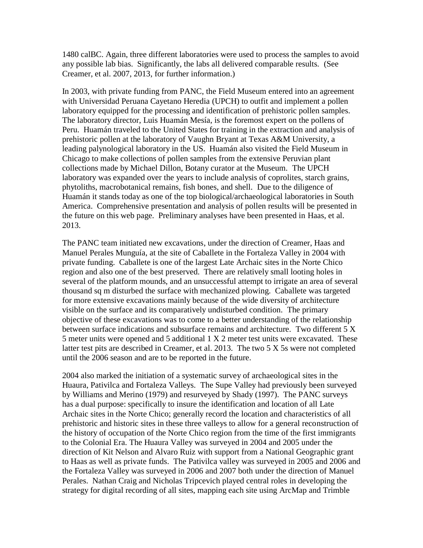1480 calBC. Again, three different laboratories were used to process the samples to avoid any possible lab bias. Significantly, the labs all delivered comparable results. (See Creamer, et al. 2007, 2013, for further information.)

In 2003, with private funding from PANC, the Field Museum entered into an agreement with Universidad Peruana Cayetano Heredia (UPCH) to outfit and implement a pollen laboratory equipped for the processing and identification of prehistoric pollen samples. The laboratory director, Luis Huamán Mesía, is the foremost expert on the pollens of Peru. Huamán traveled to the United States for training in the extraction and analysis of prehistoric pollen at the laboratory of Vaughn Bryant at Texas A&M University, a leading palynological laboratory in the US. Huamán also visited the Field Museum in Chicago to make collections of pollen samples from the extensive Peruvian plant collections made by Michael Dillon, Botany curator at the Museum. The UPCH laboratory was expanded over the years to include analysis of coprolites, starch grains, phytoliths, macrobotanical remains, fish bones, and shell. Due to the diligence of Huamán it stands today as one of the top biological/archaeological laboratories in South America. Comprehensive presentation and analysis of pollen results will be presented in the future on this web page. Preliminary analyses have been presented in Haas, et al. 2013.

The PANC team initiated new excavations, under the direction of Creamer, Haas and Manuel Perales Munguía, at the site of Caballete in the Fortaleza Valley in 2004 with private funding. Caballete is one of the largest Late Archaic sites in the Norte Chico region and also one of the best preserved. There are relatively small looting holes in several of the platform mounds, and an unsuccessful attempt to irrigate an area of several thousand sq m disturbed the surface with mechanized plowing. Caballete was targeted for more extensive excavations mainly because of the wide diversity of architecture visible on the surface and its comparatively undisturbed condition. The primary objective of these excavations was to come to a better understanding of the relationship between surface indications and subsurface remains and architecture. Two different 5 X 5 meter units were opened and 5 additional 1 X 2 meter test units were excavated. These latter test pits are described in Creamer, et al. 2013. The two 5 X 5s were not completed until the 2006 season and are to be reported in the future.

2004 also marked the initiation of a systematic survey of archaeological sites in the Huaura, Pativilca and Fortaleza Valleys. The Supe Valley had previously been surveyed by Williams and Merino (1979) and resurveyed by Shady (1997). The PANC surveys has a dual purpose: specifically to insure the identification and location of all Late Archaic sites in the Norte Chico; generally record the location and characteristics of all prehistoric and historic sites in these three valleys to allow for a general reconstruction of the history of occupation of the Norte Chico region from the time of the first immigrants to the Colonial Era. The Huaura Valley was surveyed in 2004 and 2005 under the direction of Kit Nelson and Alvaro Ruiz with support from a National Geographic grant to Haas as well as private funds. The Pativilca valley was surveyed in 2005 and 2006 and the Fortaleza Valley was surveyed in 2006 and 2007 both under the direction of Manuel Perales. Nathan Craig and Nicholas Tripcevich played central roles in developing the strategy for digital recording of all sites, mapping each site using ArcMap and Trimble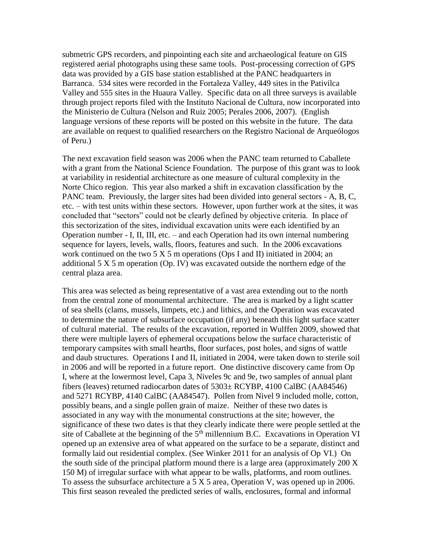submetric GPS recorders, and pinpointing each site and archaeological feature on GIS registered aerial photographs using these same tools. Post-processing correction of GPS data was provided by a GIS base station established at the PANC headquarters in Barranca. 534 sites were recorded in the Fortaleza Valley, 449 sites in the Pativilca Valley and 555 sites in the Huaura Valley. Specific data on all three surveys is available through project reports filed with the Instituto Nacional de Cultura, now incorporated into the Ministerio de Cultura (Nelson and Ruiz 2005; Perales 2006, 2007). (English language versions of these reports will be posted on this website in the future. The data are available on request to qualified researchers on the Registro Nacional de Arqueólogos of Peru.)

The next excavation field season was 2006 when the PANC team returned to Caballete with a grant from the National Science Foundation. The purpose of this grant was to look at variability in residential architecture as one measure of cultural complexity in the Norte Chico region. This year also marked a shift in excavation classification by the PANC team. Previously, the larger sites had been divided into general sectors - A, B, C, etc. – with test units within these sectors. However, upon further work at the sites, it was concluded that "sectors" could not be clearly defined by objective criteria. In place of this sectorization of the sites, individual excavation units were each identified by an Operation number - I, II, III, etc. – and each Operation had its own internal numbering sequence for layers, levels, walls, floors, features and such. In the 2006 excavations work continued on the two  $5 \times 5$  m operations (Ops I and II) initiated in 2004; an additional 5 X 5 m operation (Op. IV) was excavated outside the northern edge of the central plaza area.

This area was selected as being representative of a vast area extending out to the north from the central zone of monumental architecture. The area is marked by a light scatter of sea shells (clams, mussels, limpets, etc.) and lithics, and the Operation was excavated to determine the nature of subsurface occupation (if any) beneath this light surface scatter of cultural material. The results of the excavation, reported in Wulffen 2009, showed that there were multiple layers of ephemeral occupations below the surface characteristic of temporary campsites with small hearths, floor surfaces, post holes, and signs of wattle and daub structures. Operations I and II, initiated in 2004, were taken down to sterile soil in 2006 and will be reported in a future report. One distinctive discovery came from Op I, where at the lowermost level, Capa 3, Niveles 9c and 9e, two samples of annual plant fibers (leaves) returned radiocarbon dates of 5303± RCYBP, 4100 CalBC (AA84546) and 5271 RCYBP, 4140 CalBC (AA84547). Pollen from Nivel 9 included molle, cotton, possibly beans, and a single pollen grain of maize. Neither of these two dates is associated in any way with the monumental constructions at the site; however, the significance of these two dates is that they clearly indicate there were people settled at the site of Caballete at the beginning of the  $5<sup>th</sup>$  millennium B.C. Excavations in Operation VI opened up an extensive area of what appeared on the surface to be a separate, distinct and formally laid out residential complex. (See Winker 2011 for an analysis of Op VI.) On the south side of the principal platform mound there is a large area (approximately  $200 \text{ X}$ ) 150 M) of irregular surface with what appear to be walls, platforms, and room outlines. To assess the subsurface architecture a 5 X 5 area, Operation V, was opened up in 2006. This first season revealed the predicted series of walls, enclosures, formal and informal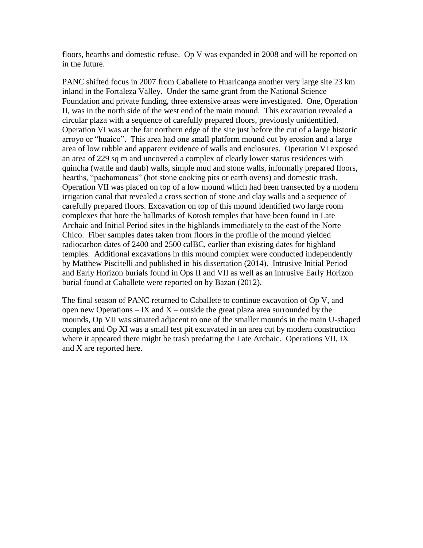floors, hearths and domestic refuse. Op V was expanded in 2008 and will be reported on in the future.

PANC shifted focus in 2007 from Caballete to Huaricanga another very large site 23 km inland in the Fortaleza Valley. Under the same grant from the National Science Foundation and private funding, three extensive areas were investigated. One, Operation II, was in the north side of the west end of the main mound. This excavation revealed a circular plaza with a sequence of carefully prepared floors, previously unidentified. Operation VI was at the far northern edge of the site just before the cut of a large historic arroyo or "huaico". This area had one small platform mound cut by erosion and a large area of low rubble and apparent evidence of walls and enclosures. Operation VI exposed an area of 229 sq m and uncovered a complex of clearly lower status residences with quincha (wattle and daub) walls, simple mud and stone walls, informally prepared floors, hearths, "pachamancas" (hot stone cooking pits or earth ovens) and domestic trash. Operation VII was placed on top of a low mound which had been transected by a modern irrigation canal that revealed a cross section of stone and clay walls and a sequence of carefully prepared floors. Excavation on top of this mound identified two large room complexes that bore the hallmarks of Kotosh temples that have been found in Late Archaic and Initial Period sites in the highlands immediately to the east of the Norte Chico. Fiber samples dates taken from floors in the profile of the mound yielded radiocarbon dates of 2400 and 2500 calBC, earlier than existing dates for highland temples. Additional excavations in this mound complex were conducted independently by Matthew Piscitelli and published in his dissertation (2014). Intrusive Initial Period and Early Horizon burials found in Ops II and VII as well as an intrusive Early Horizon burial found at Caballete were reported on by Bazan (2012).

The final season of PANC returned to Caballete to continue excavation of Op V, and open new Operations  $-$  IX and X – outside the great plaza area surrounded by the mounds, Op VII was situated adjacent to one of the smaller mounds in the main U-shaped complex and Op XI was a small test pit excavated in an area cut by modern construction where it appeared there might be trash predating the Late Archaic. Operations VII, IX and X are reported here.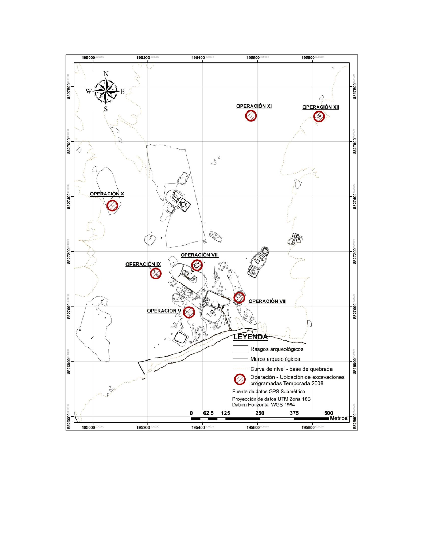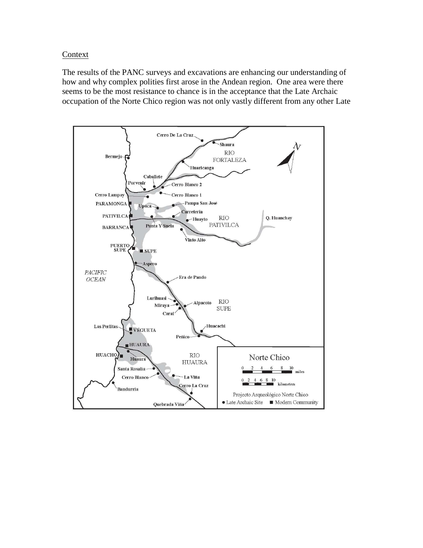Context

The results of the PANC surveys and excavations are enhancing our understanding of how and why complex polities first arose in the Andean region. One area were there seems to be the most resistance to chance is in the acceptance that the Late Archaic occupation of the Norte Chico region was not only vastly different from any other Late

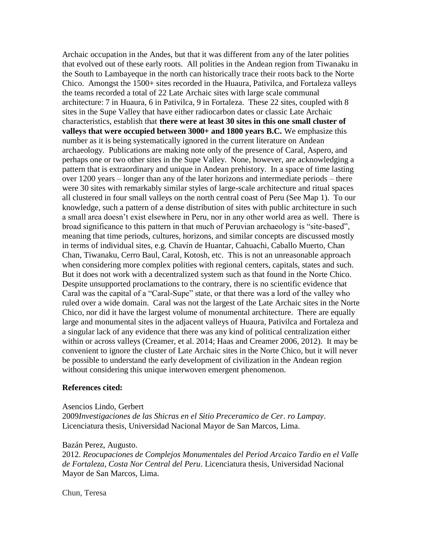Archaic occupation in the Andes, but that it was different from any of the later polities that evolved out of these early roots. All polities in the Andean region from Tiwanaku in the South to Lambayeque in the north can historically trace their roots back to the Norte Chico. Amongst the 1500+ sites recorded in the Huaura, Pativilca, and Fortaleza valleys the teams recorded a total of 22 Late Archaic sites with large scale communal architecture: 7 in Huaura, 6 in Pativilca, 9 in Fortaleza. These 22 sites, coupled with 8 sites in the Supe Valley that have either radiocarbon dates or classic Late Archaic characteristics, establish that **there were at least 30 sites in this one small cluster of valleys that were occupied between 3000+ and 1800 years B.C.** We emphasize this number as it is being systematically ignored in the current literature on Andean archaeology. Publications are making note only of the presence of Caral, Aspero, and perhaps one or two other sites in the Supe Valley. None, however, are acknowledging a pattern that is extraordinary and unique in Andean prehistory. In a space of time lasting over 1200 years – longer than any of the later horizons and intermediate periods – there were 30 sites with remarkably similar styles of large-scale architecture and ritual spaces all clustered in four small valleys on the north central coast of Peru (See Map 1). To our knowledge, such a pattern of a dense distribution of sites with public architecture in such a small area doesn't exist elsewhere in Peru, nor in any other world area as well. There is broad significance to this pattern in that much of Peruvian archaeology is "site-based", meaning that time periods, cultures, horizons, and similar concepts are discussed mostly in terms of individual sites, e.g. Chavín de Huantar, Cahuachi, Caballo Muerto, Chan Chan, Tiwanaku, Cerro Baul, Caral, Kotosh, etc. This is not an unreasonable approach when considering more complex polities with regional centers, capitals, states and such. But it does not work with a decentralized system such as that found in the Norte Chico. Despite unsupported proclamations to the contrary, there is no scientific evidence that Caral was the capital of a "Caral-Supe" state, or that there was a lord of the valley who ruled over a wide domain. Caral was not the largest of the Late Archaic sites in the Norte Chico, nor did it have the largest volume of monumental architecture. There are equally large and monumental sites in the adjacent valleys of Huaura, Pativilca and Fortaleza and a singular lack of any evidence that there was any kind of political centralization either within or across valleys (Creamer, et al. 2014; Haas and Creamer 2006, 2012). It may be convenient to ignore the cluster of Late Archaic sites in the Norte Chico, but it will never be possible to understand the early development of civilization in the Andean region without considering this unique interwoven emergent phenomenon.

### **References cited:**

Asencios Lindo, Gerbert 2009*Investigaciones de las Shicras en el Sitio Preceramico de Cer. ro Lampay*. Licenciatura thesis, Universidad Nacional Mayor de San Marcos, Lima.

### Bazán Perez, Augusto.

2012. *Reocupaciones de Complejos Monumentales del Period Arcaico Tardio en el Valle de Fortaleza, Costa Nor Central del Peru*. Licenciatura thesis, Universidad Nacional Mayor de San Marcos, Lima.

Chun, Teresa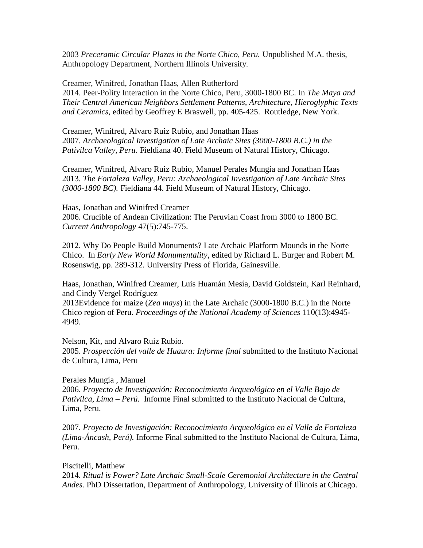2003 *Preceramic Circular Plazas in the Norte Chico, Peru.* Unpublished M.A. thesis, Anthropology Department, Northern Illinois University.

Creamer, Winifred, Jonathan Haas, Allen Rutherford 2014. Peer-Polity Interaction in the Norte Chico, Peru, 3000-1800 BC. In *The Maya and Their Central American Neighbors Settlement Patterns, Architecture, Hieroglyphic Texts and Ceramics,* edited by [Geoffrey E Braswell,](https://www.routledge.com/products/search?author=Geoffrey%20E%20Braswell) pp. 405-425. Routledge, New York.

Creamer, Winifred, Alvaro Ruiz Rubio, and Jonathan Haas 2007. *Archaeological Investigation of Late Archaic Sites (3000-1800 B.C.) in the Pativilca Valley, Peru*. Fieldiana 40. Field Museum of Natural History, Chicago.

Creamer, Winifred, Alvaro Ruiz Rubio, Manuel Perales Mungía and Jonathan Haas 2013. *The Fortaleza Valley, Peru: Archaeological Investigation of Late Archaic Sites (3000-1800 BC).* Fieldiana 44. Field Museum of Natural History, Chicago.

Haas, Jonathan and Winifred Creamer 2006. Crucible of Andean Civilization: The Peruvian Coast from 3000 to 1800 BC. *Current Anthropology* 47(5):745-775.

2012. Why Do People Build Monuments? Late Archaic Platform Mounds in the Norte Chico. In *Early New World Monumentality*, edited by Richard L. Burger and Robert M. Rosenswig, pp. 289-312. University Press of Florida, Gainesville.

Haas, Jonathan, Winifred Creamer, Luis Huamán Mesía, David Goldstein, Karl Reinhard, and Cindy Vergel Rodríguez

2013Evidence for maize (*Zea mays*) in the Late Archaic (3000-1800 B.C.) in the Norte Chico region of Peru. *Proceedings of the National Academy of Sciences* 110(13):4945- 4949.

Nelson, Kit, and Alvaro Ruiz Rubio. 2005. *Prospección del valle de Huaura: Informe final* submitted to the Instituto Nacional de Cultura, Lima, Peru

Perales Mungía , Manuel 2006. *Proyecto de Investigación: Reconocimiento Arqueológico en el Valle Bajo de Pativilca, Lima – Perú.* Informe Final submitted to the Instituto Nacional de Cultura, Lima, Peru.

2007. *Proyecto de Investigación: Reconocimiento Arqueológico en el Valle de Fortaleza (Lima-Áncash, Perú).* Informe Final submitted to the Instituto Nacional de Cultura, Lima, Peru.

Piscitelli, Matthew

2014. *Ritual is Power? Late Archaic Small-Scale Ceremonial Architecture in the Central Andes.* PhD Dissertation, Department of Anthropology, University of Illinois at Chicago.